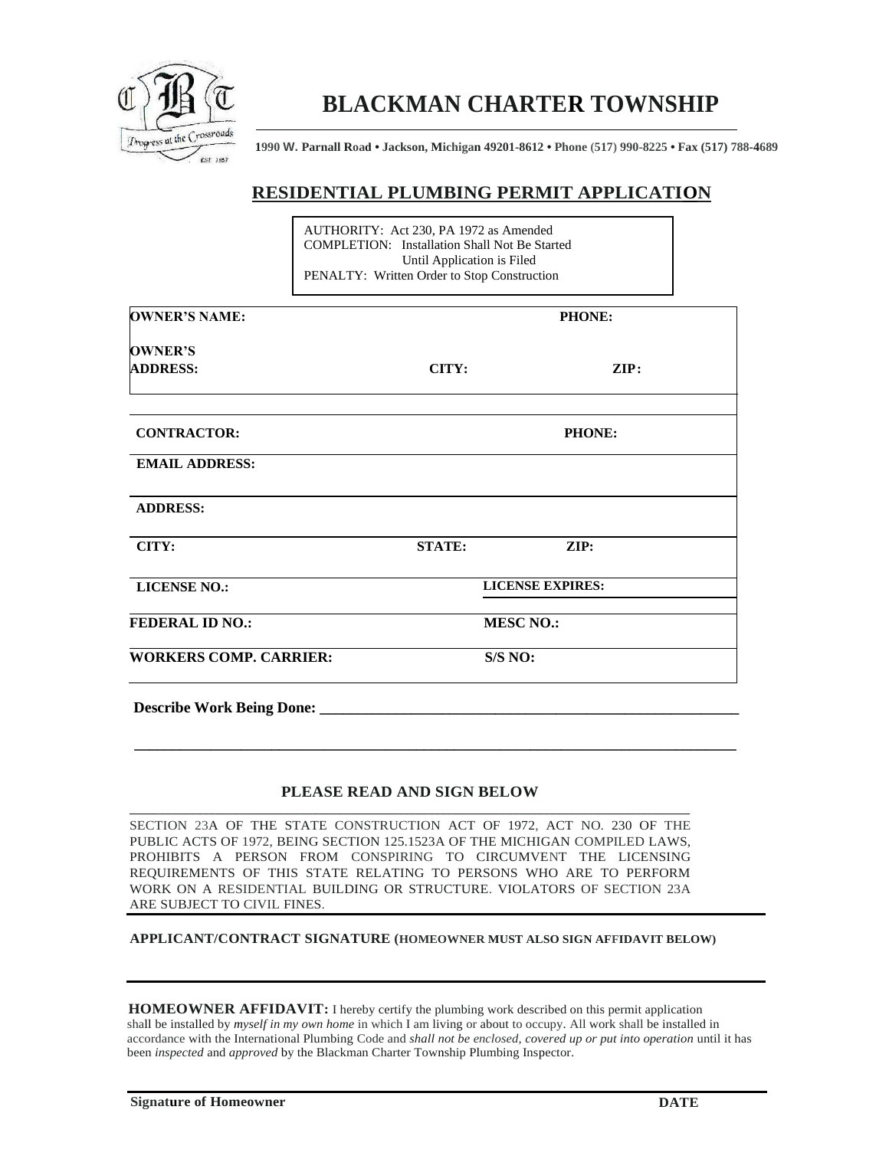

## **BLACKMAN CHARTER TOWNSHIP**

**1990 W. Parnall Road • Jackson, Michigan 49201-8612 • Phone (517) 990-8225 • Fax (517) 788-4689**

## **RESIDENTIAL PLUMBING PERMIT APPLICATION**

|                                   | AUTHORITY: Act 230, PA 1972 as Amended<br><b>COMPLETION:</b> Installation Shall Not Be Started<br>Until Application is Filed<br>PENALTY: Written Order to Stop Construction |                         |      |  |
|-----------------------------------|-----------------------------------------------------------------------------------------------------------------------------------------------------------------------------|-------------------------|------|--|
| <b>OWNER'S NAME:</b>              |                                                                                                                                                                             | <b>PHONE:</b>           |      |  |
| <b>OWNER'S</b><br><b>ADDRESS:</b> | CITY:                                                                                                                                                                       |                         | ZIP: |  |
| <b>CONTRACTOR:</b>                |                                                                                                                                                                             | <b>PHONE:</b>           |      |  |
| <b>EMAIL ADDRESS:</b>             |                                                                                                                                                                             |                         |      |  |
| <b>ADDRESS:</b>                   |                                                                                                                                                                             |                         |      |  |
| CITY:                             | <b>STATE:</b>                                                                                                                                                               | ZIP:                    |      |  |
| <b>LICENSE NO.:</b>               |                                                                                                                                                                             | <b>LICENSE EXPIRES:</b> |      |  |
| <b>FEDERAL ID NO.:</b>            | <b>MESC NO.:</b>                                                                                                                                                            |                         |      |  |
| <b>WORKERS COMP. CARRIER:</b>     |                                                                                                                                                                             | S/S NO:                 |      |  |
| <b>Describe Work Being Done:</b>  |                                                                                                                                                                             |                         |      |  |

## **PLEASE READ AND SIGN BELOW \_\_\_\_\_\_\_\_\_\_\_\_\_\_\_\_\_\_\_\_\_\_\_\_\_\_\_\_\_\_\_\_\_\_\_\_\_\_\_\_\_\_\_\_\_\_\_\_\_\_\_\_\_\_\_\_\_\_\_\_\_\_\_\_\_\_\_\_\_\_\_\_\_\_\_\_\_\_\_\_\_\_\_\_\_\_\_\_\_\_\_\_**

 **\_\_\_\_\_\_\_\_\_\_\_\_\_\_\_\_\_\_\_\_\_\_\_\_\_\_\_\_\_\_\_\_\_\_\_\_\_\_\_\_\_\_\_\_\_\_\_\_\_\_\_\_\_\_\_\_\_\_\_\_\_\_\_\_\_\_\_\_\_\_\_\_\_\_\_\_\_\_\_**

SECTION 23A OF THE STATE CONSTRUCTION ACT OF 1972, ACT NO. 230 OF THE PUBLIC ACTS OF 1972, BEING SECTION 125.1523A OF THE MICHIGAN COMPILED LAWS, PROHIBITS A PERSON FROM CONSPIRING TO CIRCUMVENT THE LICENSING REQUIREMENTS OF THIS STATE RELATING TO PERSONS WHO ARE TO PERFORM WORK ON A RESIDENTIAL BUILDING OR STRUCTURE. VIOLATORS OF SECTION 23A ARE SUBJECT TO CIVIL FINES.

**APPLICANT/CONTRACT SIGNATURE (HOMEOWNER MUST ALSO SIGN AFFIDAVIT BELOW)**

**HOMEOWNER AFFIDAVIT:** I hereby certify the plumbing work described on this permit application shall be installed by *myself in my own home* in which I am living or about to occupy. All work shall be installed in accordance with the International Plumbing Code and *shall not be enclosed, covered up or put into operation* until it has been *inspected* and *approved* by the Blackman Charter Township Plumbing Inspector.